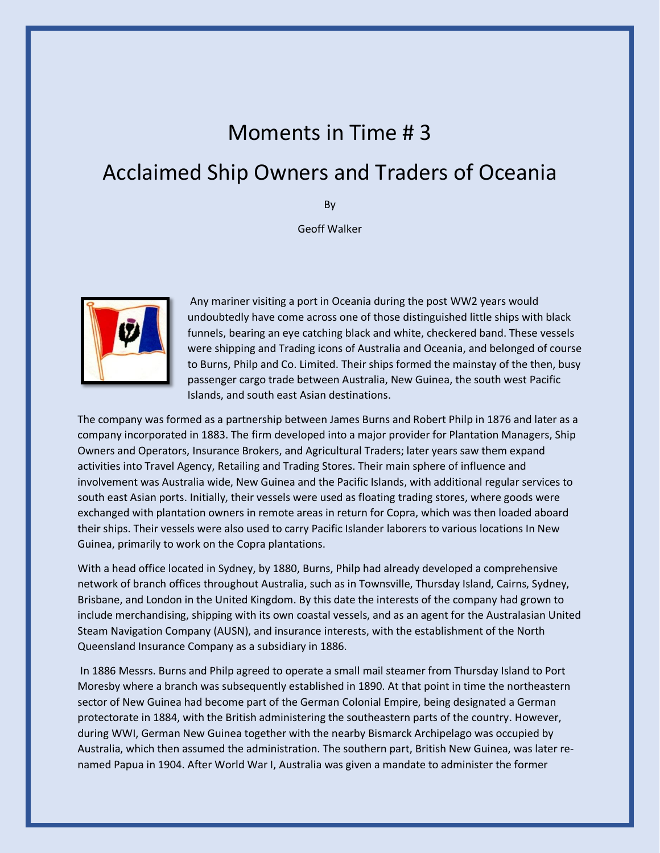## Moments in Time # 3

## Acclaimed Ship Owners and Traders of Oceania

By

Geoff Walker



Any mariner visiting a port in Oceania during the post WW2 years would undoubtedly have come across one of those distinguished little ships with black funnels, bearing an eye catching black and white, checkered band. These vessels were shipping and Trading icons of Australia and Oceania, and belonged of course to Burns, Philp and Co. Limited. Their ships formed the mainstay of the then, busy passenger cargo trade between Australia, New Guinea, the south west Pacific Islands, and south east Asian destinations.

The company was formed as a partnership between James Burns and Robert Philp in 1876 and later as a company incorporated in 1883. The firm developed into a major provider for Plantation Managers, Ship Owners and Operators, Insurance Brokers, and Agricultural Traders; later years saw them expand activities into Travel Agency, Retailing and Trading Stores. Their main sphere of influence and involvement was Australia wide, New Guinea and the Pacific Islands, with additional regular services to south east Asian ports. Initially, their vessels were used as floating trading stores, where goods were exchanged with plantation owners in remote areas in return for Copra, which was then loaded aboard their ships. Their vessels were also used to carry Pacific Islander laborers to various locations In New Guinea, primarily to work on the Copra plantations.

With a head office located in Sydney, by 1880, Burns, Philp had already developed a comprehensive network of branch offices throughout Australia, such as in Townsville, Thursday Island, Cairns, Sydney, Brisbane, and London in the United Kingdom. By this date the interests of the company had grown to include merchandising, shipping with its own coastal vessels, and as an agent for the Australasian United Steam Navigation Company (AUSN), and insurance interests, with the establishment of the North Queensland Insurance Company as a subsidiary in 1886.

In 1886 Messrs. Burns and Philp agreed to operate a small mail steamer from Thursday Island to Port Moresby where a branch was subsequently established in 1890. At that point in time the northeastern sector of New Guinea had become part of the German Colonial Empire, being designated a German protectorate in 1884, with the British administering the southeastern parts of the country. However, during WWI, German New Guinea together with the nearby Bismarck Archipelago was occupied by Australia, which then assumed the administration. The southern part, British New Guinea, was later renamed Papua in 1904. After World War I, Australia was given a mandate to administer the former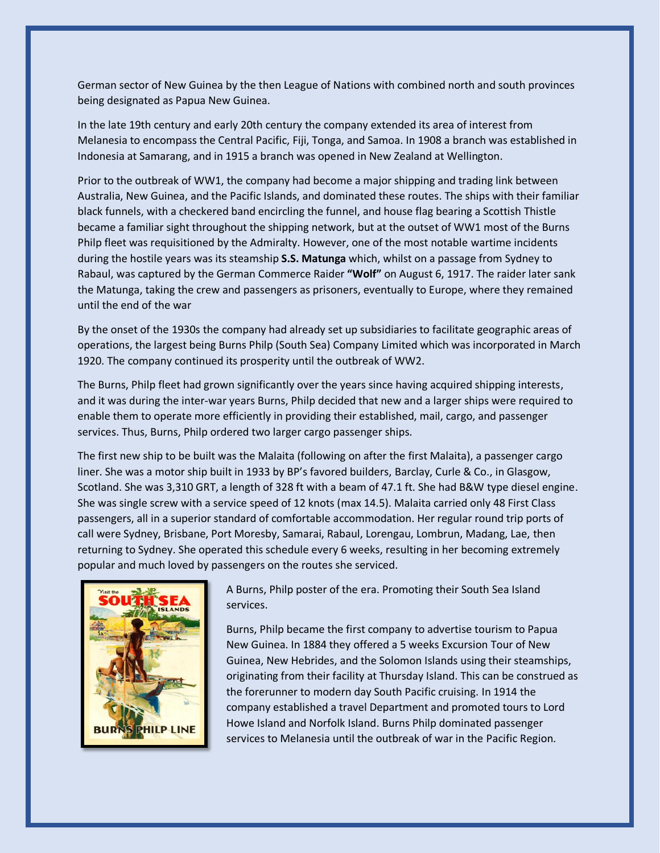German sector of New Guinea by the then League of Nations with combined north and south provinces being designated as Papua New Guinea.

In the late 19th century and early 20th century the company extended its area of interest from Melanesia to encompass the Central Pacific, Fiji, Tonga, and Samoa. In 1908 a branch was established in Indonesia at Samarang, and in 1915 a branch was opened in New Zealand at Wellington.

Prior to the outbreak of WW1, the company had become a major shipping and trading link between Australia, New Guinea, and the Pacific Islands, and dominated these routes. The ships with their familiar black funnels, with a checkered band encircling the funnel, and house flag bearing a Scottish Thistle became a familiar sight throughout the shipping network, but at the outset of WW1 most of the Burns Philp fleet was requisitioned by the Admiralty. However, one of the most notable wartime incidents during the hostile years was its steamship **S.S. Matunga** which, whilst on a passage from Sydney to Rabaul, was captured by the German Commerce Raider **"Wolf"** on August 6, 1917. The raider later sank the Matunga, taking the crew and passengers as prisoners, eventually to Europe, where they remained until the end of the war

By the onset of the 1930s the company had already set up subsidiaries to facilitate geographic areas of operations, the largest being Burns Philp (South Sea) Company Limited which was incorporated in March 1920. The company continued its prosperity until the outbreak of WW2.

The Burns, Philp fleet had grown significantly over the years since having acquired shipping interests, and it was during the inter-war years Burns, Philp decided that new and a larger ships were required to enable them to operate more efficiently in providing their established, mail, cargo, and passenger services. Thus, Burns, Philp ordered two larger cargo passenger ships.

The first new ship to be built was the Malaita (following on after the first Malaita), a passenger cargo liner. She was a motor ship built in 1933 by BP's favored builders, Barclay, Curle & Co., in Glasgow, Scotland. She was 3,310 GRT, a length of 328 ft with a beam of 47.1 ft. She had B&W type diesel engine. She was single screw with a service speed of 12 knots (max 14.5). Malaita carried only 48 First Class passengers, all in a superior standard of comfortable accommodation. Her regular round trip ports of call were Sydney, Brisbane, Port Moresby, Samarai, Rabaul, Lorengau, Lombrun, Madang, Lae, then returning to Sydney. She operated this schedule every 6 weeks, resulting in her becoming extremely popular and much loved by passengers on the routes she serviced.



A Burns, Philp poster of the era. Promoting their South Sea Island services.

Burns, Philp became the first company to advertise tourism to Papua New Guinea. In 1884 they offered a 5 weeks Excursion Tour of New Guinea, New Hebrides, and the Solomon Islands using their steamships, originating from their facility at Thursday Island. This can be construed as the forerunner to modern day South Pacific cruising. In 1914 the company established a travel Department and promoted tours to Lord Howe Island and Norfolk Island. Burns Philp dominated passenger services to Melanesia until the outbreak of war in the Pacific Region.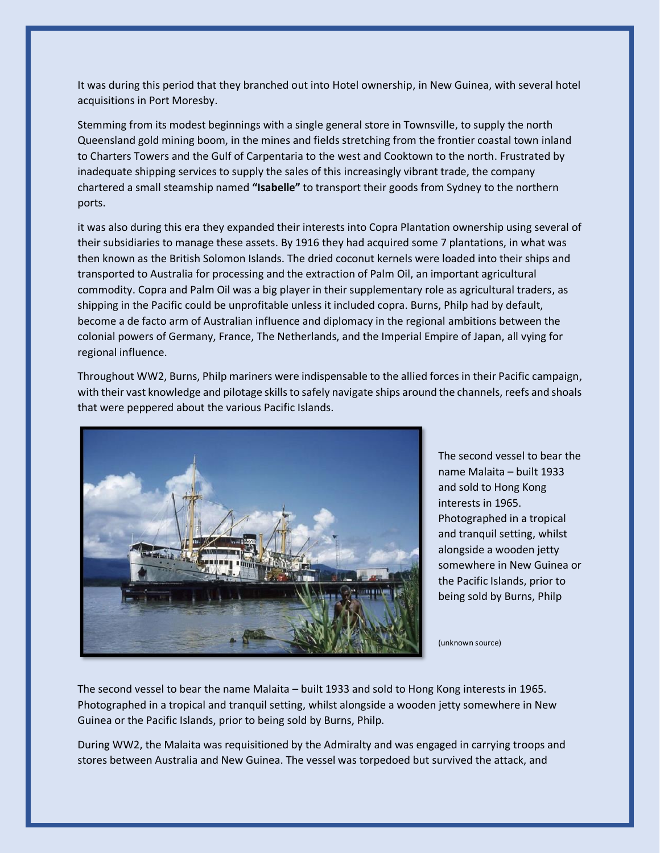It was during this period that they branched out into Hotel ownership, in New Guinea, with several hotel acquisitions in Port Moresby.

Stemming from its modest beginnings with a single general store in Townsville, to supply the north Queensland gold mining boom, in the mines and fields stretching from the frontier coastal town inland to Charters Towers and the Gulf of Carpentaria to the west and Cooktown to the north. Frustrated by inadequate shipping services to supply the sales of this increasingly vibrant trade, the company chartered a small steamship named **"Isabelle"** to transport their goods from Sydney to the northern ports.

it was also during this era they expanded their interests into Copra Plantation ownership using several of their subsidiaries to manage these assets. By 1916 they had acquired some 7 plantations, in what was then known as the British Solomon Islands. The dried coconut kernels were loaded into their ships and transported to Australia for processing and the extraction of Palm Oil, an important agricultural commodity. Copra and Palm Oil was a big player in their supplementary role as agricultural traders, as shipping in the Pacific could be unprofitable unless it included copra. Burns, Philp had by default, become a de facto arm of Australian influence and diplomacy in the regional ambitions between the colonial powers of Germany, France, The Netherlands, and the Imperial Empire of Japan, all vying for regional influence.

Throughout WW2, Burns, Philp mariners were indispensable to the allied forces in their Pacific campaign, with their vast knowledge and pilotage skills to safely navigate ships around the channels, reefs and shoals that were peppered about the various Pacific Islands.



The second vessel to bear the name Malaita – built 1933 and sold to Hong Kong interests in 1965. Photographed in a tropical and tranquil setting, whilst alongside a wooden jetty somewhere in New Guinea or the Pacific Islands, prior to being sold by Burns, Philp

(unknown source)

The second vessel to bear the name Malaita – built 1933 and sold to Hong Kong interests in 1965. Photographed in a tropical and tranquil setting, whilst alongside a wooden jetty somewhere in New Guinea or the Pacific Islands, prior to being sold by Burns, Philp.

During WW2, the Malaita was requisitioned by the Admiralty and was engaged in carrying troops and stores between Australia and New Guinea. The vessel was torpedoed but survived the attack, and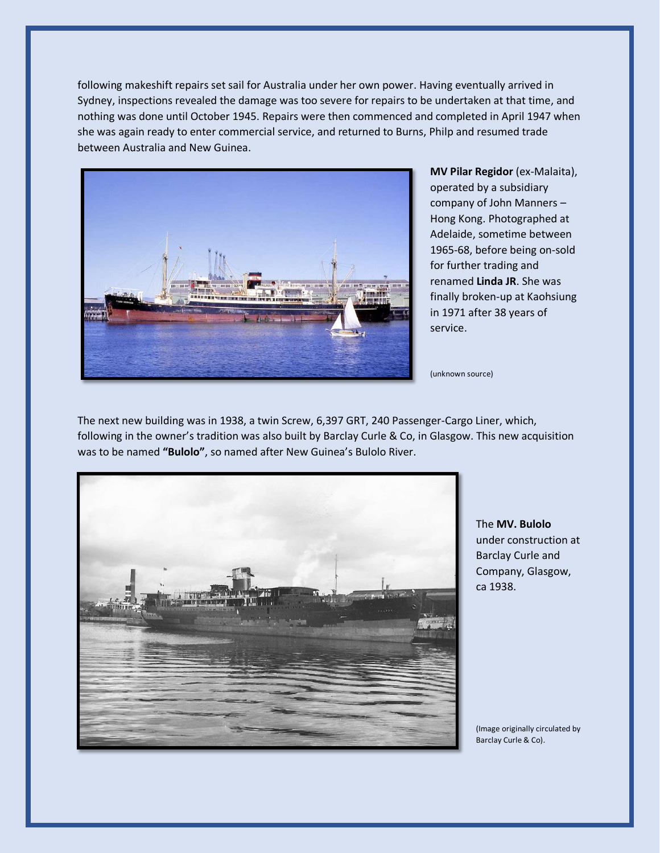following makeshift repairs set sail for Australia under her own power. Having eventually arrived in Sydney, inspections revealed the damage was too severe for repairs to be undertaken at that time, and nothing was done until October 1945. Repairs were then commenced and completed in April 1947 when she was again ready to enter commercial service, and returned to Burns, Philp and resumed trade between Australia and New Guinea.



**MV Pilar Regidor** (ex-Malaita), operated by a subsidiary company of John Manners – Hong Kong. Photographed at Adelaide, sometime between 1965-68, before being on-sold for further trading and renamed **Linda JR**. She was finally broken-up at Kaohsiung in 1971 after 38 years of service.

(unknown source)

The next new building was in 1938, a twin Screw, 6,397 GRT, 240 Passenger-Cargo Liner, which, following in the owner's tradition was also built by Barclay Curle & Co, in Glasgow. This new acquisition was to be named **"Bulolo"**, so named after New Guinea's Bulolo River.



The **MV. Bulolo** under construction at Barclay Curle and Company, Glasgow, ca 1938.

(Image originally circulated by Barclay Curle & Co).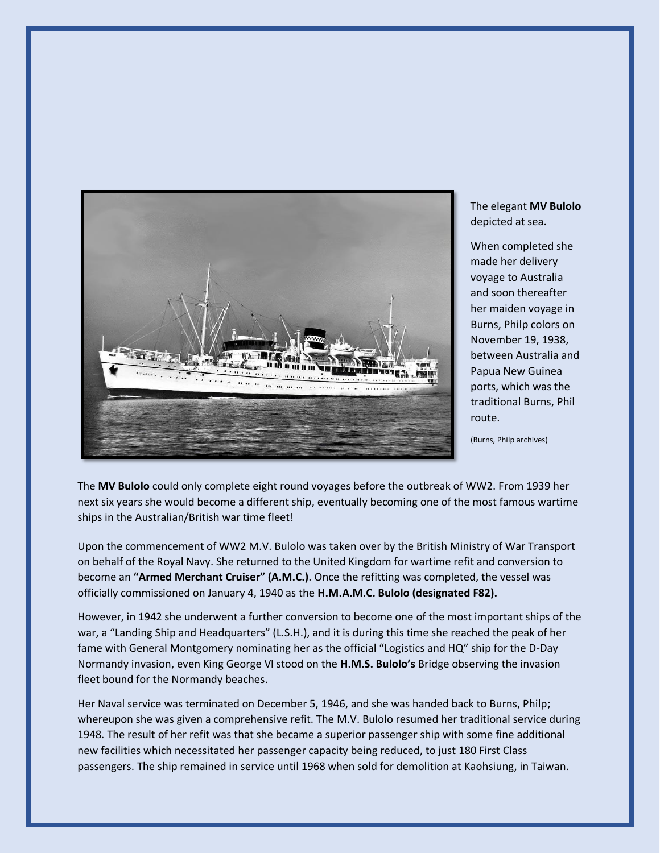

The elegant **MV Bulolo** depicted at sea.

When completed she made her delivery voyage to Australia and soon thereafter her maiden voyage in Burns, Philp colors on November 19, 1938, between Australia and Papua New Guinea ports, which was the traditional Burns, Phil route.

(Burns, Philp archives)

The **MV Bulolo** could only complete eight round voyages before the outbreak of WW2. From 1939 her next six years she would become a different ship, eventually becoming one of the most famous wartime ships in the Australian/British war time fleet!

Upon the commencement of WW2 M.V. Bulolo was taken over by the British Ministry of War Transport on behalf of the Royal Navy. She returned to the United Kingdom for wartime refit and conversion to become an **"Armed Merchant Cruiser" (A.M.C.)**. Once the refitting was completed, the vessel was officially commissioned on January 4, 1940 as the **H.M.A.M.C. Bulolo (designated F82).**

However, in 1942 she underwent a further conversion to become one of the most important ships of the war, a "Landing Ship and Headquarters" (L.S.H.), and it is during this time she reached the peak of her fame with General Montgomery nominating her as the official "Logistics and HQ" ship for the D-Day Normandy invasion, even King George VI stood on the **H.M.S. Bulolo's** Bridge observing the invasion fleet bound for the Normandy beaches.

Her Naval service was terminated on December 5, 1946, and she was handed back to Burns, Philp; whereupon she was given a comprehensive refit. The M.V. Bulolo resumed her traditional service during 1948. The result of her refit was that she became a superior passenger ship with some fine additional new facilities which necessitated her passenger capacity being reduced, to just 180 First Class passengers. The ship remained in service until 1968 when sold for demolition at Kaohsiung, in Taiwan.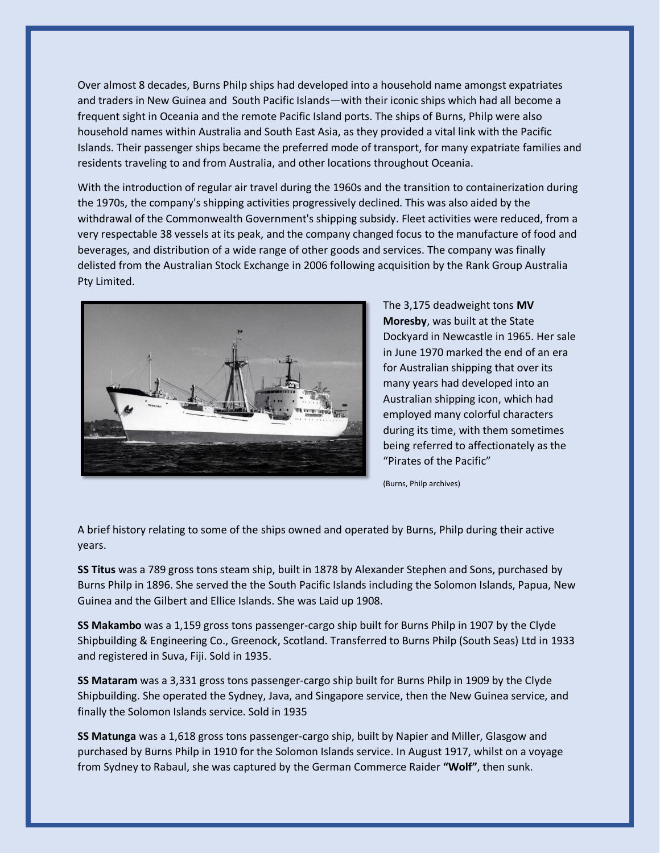Over almost 8 decades, Burns Philp ships had developed into a household name amongst expatriates and traders in New Guinea and South Pacific Islands—with their iconic ships which had all become a frequent sight in Oceania and the remote Pacific Island ports. The ships of Burns, Philp were also household names within Australia and South East Asia, as they provided a vital link with the Pacific Islands. Their passenger ships became the preferred mode of transport, for many expatriate families and residents traveling to and from Australia, and other locations throughout Oceania.

With the introduction of regular air travel during the 1960s and the transition to containerization during the 1970s, the company's shipping activities progressively declined. This was also aided by the withdrawal of the Commonwealth Government's shipping subsidy. Fleet activities were reduced, from a very respectable 38 vessels at its peak, and the company changed focus to the manufacture of food and beverages, and distribution of a wide range of other goods and services. The company was finally delisted from the Australian Stock Exchange in 2006 following acquisition by the Rank Group Australia Pty Limited.



The 3,175 deadweight tons **MV Moresby**, was built at the State Dockyard in Newcastle in 1965. Her sale in June 1970 marked the end of an era for Australian shipping that over its many years had developed into an Australian shipping icon, which had employed many colorful characters during its time, with them sometimes being referred to affectionately as the "Pirates of the Pacific"

(Burns, Philp archives)

A brief history relating to some of the ships owned and operated by Burns, Philp during their active years.

**SS Titus** was a 789 gross tons steam ship, built in 1878 by Alexander Stephen and Sons, purchased by Burns Philp in 1896. She served the the South Pacific Islands including the Solomon Islands, Papua, New Guinea and the Gilbert and Ellice Islands. She was Laid up 1908.

**SS Makambo** was a 1,159 gross tons passenger-cargo ship built for Burns Philp in 1907 by the Clyde Shipbuilding & Engineering Co., Greenock, Scotland. Transferred to Burns Philp (South Seas) Ltd in 1933 and registered in Suva, Fiji. Sold in 1935.

**SS Mataram** was a 3,331 gross tons passenger-cargo ship built for Burns Philp in 1909 by the Clyde Shipbuilding. She operated the Sydney, Java, and Singapore service, then the New Guinea service, and finally the Solomon Islands service. Sold in 1935

**SS Matunga** was a 1,618 gross tons passenger-cargo ship, built by Napier and Miller, Glasgow and purchased by Burns Philp in 1910 for the Solomon Islands service. In August 1917, whilst on a voyage from Sydney to Rabaul, she was captured by the German Commerce Raider **"Wolf"**, then sunk.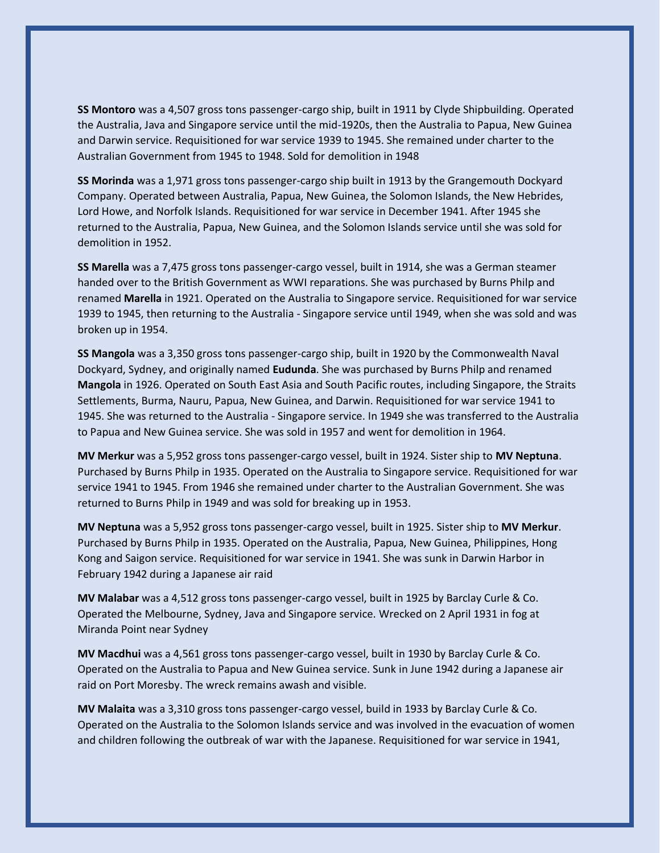**SS Montoro** was a 4,507 gross tons passenger-cargo ship, built in 1911 by Clyde Shipbuilding. Operated the Australia, Java and Singapore service until the mid-1920s, then the Australia to Papua, New Guinea and Darwin service. Requisitioned for war service 1939 to 1945. She remained under charter to the Australian Government from 1945 to 1948. Sold for demolition in 1948

**SS Morinda** was a 1,971 gross tons passenger-cargo ship built in 1913 by the Grangemouth Dockyard Company. Operated between Australia, Papua, New Guinea, the Solomon Islands, the New Hebrides, Lord Howe, and Norfolk Islands. Requisitioned for war service in December 1941. After 1945 she returned to the Australia, Papua, New Guinea, and the Solomon Islands service until she was sold for demolition in 1952.

**SS Marella** was a 7,475 gross tons passenger-cargo vessel, built in 1914, she was a German steamer handed over to the British Government as WWI reparations. She was purchased by Burns Philp and renamed **Marella** in 1921. Operated on the Australia to Singapore service. Requisitioned for war service 1939 to 1945, then returning to the Australia - Singapore service until 1949, when she was sold and was broken up in 1954.

**SS Mangola** was a 3,350 gross tons passenger-cargo ship, built in 1920 by the Commonwealth Naval Dockyard, Sydney, and originally named **Eudunda**. She was purchased by Burns Philp and renamed **Mangola** in 1926. Operated on South East Asia and South Pacific routes, including Singapore, the Straits Settlements, Burma, Nauru, Papua, New Guinea, and Darwin. Requisitioned for war service 1941 to 1945. She was returned to the Australia - Singapore service. In 1949 she was transferred to the Australia to Papua and New Guinea service. She was sold in 1957 and went for demolition in 1964.

**MV Merkur** was a 5,952 gross tons passenger-cargo vessel, built in 1924. Sister ship to **MV Neptuna**. Purchased by Burns Philp in 1935. Operated on the Australia to Singapore service. Requisitioned for war service 1941 to 1945. From 1946 she remained under charter to the Australian Government. She was returned to Burns Philp in 1949 and was sold for breaking up in 1953.

**MV Neptuna** was a 5,952 gross tons passenger-cargo vessel, built in 1925. Sister ship to **MV Merkur**. Purchased by Burns Philp in 1935. Operated on the Australia, Papua, New Guinea, Philippines, Hong Kong and Saigon service. Requisitioned for war service in 1941. She was sunk in Darwin Harbor in February 1942 during a Japanese air raid

**MV Malabar** was a 4,512 gross tons passenger-cargo vessel, built in 1925 by Barclay Curle & Co. Operated the Melbourne, Sydney, Java and Singapore service. Wrecked on 2 April 1931 in fog at Miranda Point near Sydney

**MV Macdhui** was a 4,561 gross tons passenger-cargo vessel, built in 1930 by Barclay Curle & Co. Operated on the Australia to Papua and New Guinea service. Sunk in June 1942 during a Japanese air raid on Port Moresby. The wreck remains awash and visible.

**MV Malaita** was a 3,310 gross tons passenger-cargo vessel, build in 1933 by Barclay Curle & Co. Operated on the Australia to the Solomon Islands service and was involved in the evacuation of women and children following the outbreak of war with the Japanese. Requisitioned for war service in 1941,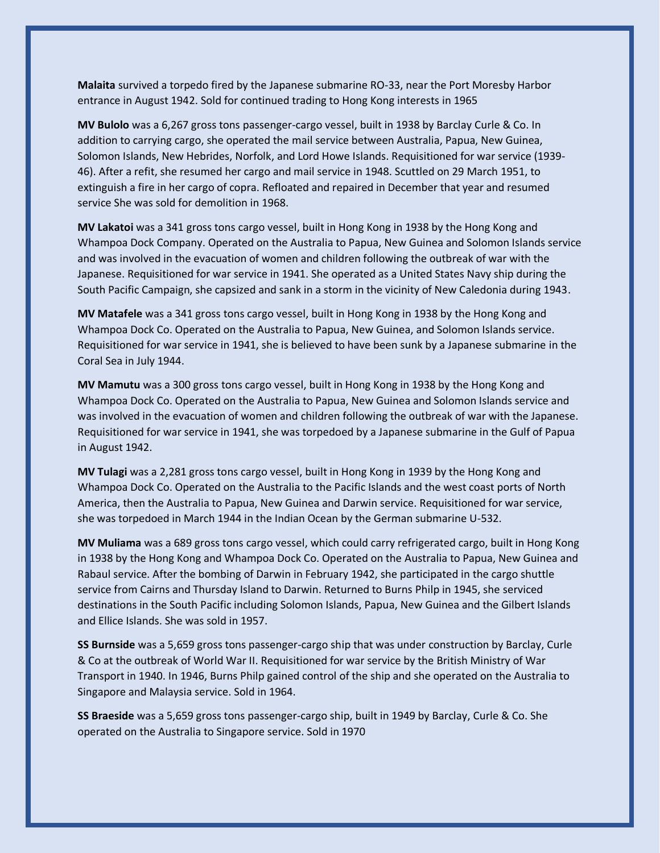**Malaita** survived a torpedo fired by the Japanese submarine RO-33, near the Port Moresby Harbor entrance in August 1942. Sold for continued trading to Hong Kong interests in 1965

**MV Bulolo** was a 6,267 gross tons passenger-cargo vessel, built in 1938 by Barclay Curle & Co. In addition to carrying cargo, she operated the mail service between Australia, Papua, New Guinea, Solomon Islands, New Hebrides, Norfolk, and Lord Howe Islands. Requisitioned for war service (1939- 46). After a refit, she resumed her cargo and mail service in 1948. Scuttled on 29 March 1951, to extinguish a fire in her cargo of copra. Refloated and repaired in December that year and resumed service She was sold for demolition in 1968.

**MV Lakatoi** was a 341 gross tons cargo vessel, built in Hong Kong in 1938 by the Hong Kong and Whampoa Dock Company. Operated on the Australia to Papua, New Guinea and Solomon Islands service and was involved in the evacuation of women and children following the outbreak of war with the Japanese. Requisitioned for war service in 1941. She operated as a United States Navy ship during the South Pacific Campaign, she capsized and sank in a storm in the vicinity of New Caledonia during 1943.

**MV Matafele** was a 341 gross tons cargo vessel, built in Hong Kong in 1938 by the Hong Kong and Whampoa Dock Co. Operated on the Australia to Papua, New Guinea, and Solomon Islands service. Requisitioned for war service in 1941, she is believed to have been sunk by a Japanese submarine in the Coral Sea in July 1944.

**MV Mamutu** was a 300 gross tons cargo vessel, built in Hong Kong in 1938 by the Hong Kong and Whampoa Dock Co. Operated on the Australia to Papua, New Guinea and Solomon Islands service and was involved in the evacuation of women and children following the outbreak of war with the Japanese. Requisitioned for war service in 1941, she was torpedoed by a Japanese submarine in the Gulf of Papua in August 1942.

**MV Tulagi** was a 2,281 gross tons cargo vessel, built in Hong Kong in 1939 by the Hong Kong and Whampoa Dock Co. Operated on the Australia to the Pacific Islands and the west coast ports of North America, then the Australia to Papua, New Guinea and Darwin service. Requisitioned for war service, she was torpedoed in March 1944 in the Indian Ocean by the German submarine U-532.

**MV Muliama** was a 689 gross tons cargo vessel, which could carry refrigerated cargo, built in Hong Kong in 1938 by the Hong Kong and Whampoa Dock Co. Operated on the Australia to Papua, New Guinea and Rabaul service. After the bombing of Darwin in February 1942, she participated in the cargo shuttle service from Cairns and Thursday Island to Darwin. Returned to Burns Philp in 1945, she serviced destinations in the South Pacific including Solomon Islands, Papua, New Guinea and the Gilbert Islands and Ellice Islands. She was sold in 1957.

**SS Burnside** was a 5,659 gross tons passenger-cargo ship that was under construction by Barclay, Curle & Co at the outbreak of World War II. Requisitioned for war service by the British Ministry of War Transport in 1940. In 1946, Burns Philp gained control of the ship and she operated on the Australia to Singapore and Malaysia service. Sold in 1964.

**SS Braeside** was a 5,659 gross tons passenger-cargo ship, built in 1949 by Barclay, Curle & Co. She operated on the Australia to Singapore service. Sold in 1970